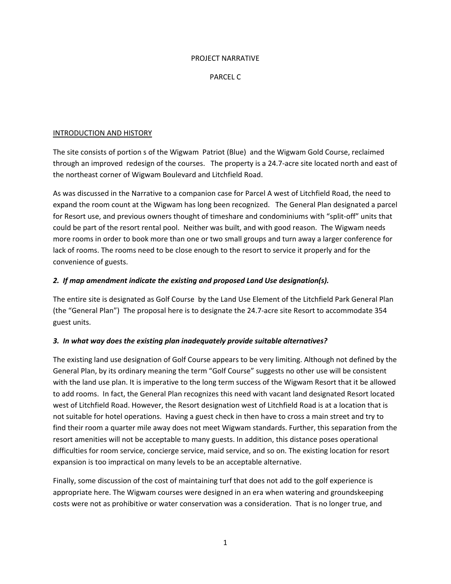#### PROJECT NARRATIVE

#### PARCEL C

#### INTRODUCTION AND HISTORY

The site consists of portion s of the Wigwam Patriot (Blue) and the Wigwam Gold Course, reclaimed through an improved redesign of the courses. The property is a 24.7‐acre site located north and east of the northeast corner of Wigwam Boulevard and Litchfield Road.

As was discussed in the Narrative to a companion case for Parcel A west of Litchfield Road, the need to expand the room count at the Wigwam has long been recognized. The General Plan designated a parcel for Resort use, and previous owners thought of timeshare and condominiums with "split‐off" units that could be part of the resort rental pool. Neither was built, and with good reason. The Wigwam needs more rooms in order to book more than one or two small groups and turn away a larger conference for lack of rooms. The rooms need to be close enough to the resort to service it properly and for the convenience of guests.

#### *2. If map amendment indicate the existing and proposed Land Use designation(s).*

The entire site is designated as Golf Course by the Land Use Element of the Litchfield Park General Plan (the "General Plan") The proposal here is to designate the 24.7‐acre site Resort to accommodate 354 guest units.

#### *3. In what way does the existing plan inadequately provide suitable alternatives?*

The existing land use designation of Golf Course appears to be very limiting. Although not defined by the General Plan, by its ordinary meaning the term "Golf Course" suggests no other use will be consistent with the land use plan. It is imperative to the long term success of the Wigwam Resort that it be allowed to add rooms. In fact, the General Plan recognizes this need with vacant land designated Resort located west of Litchfield Road. However, the Resort designation west of Litchfield Road is at a location that is not suitable for hotel operations. Having a guest check in then have to cross a main street and try to find their room a quarter mile away does not meet Wigwam standards. Further, this separation from the resort amenities will not be acceptable to many guests. In addition, this distance poses operational difficulties for room service, concierge service, maid service, and so on. The existing location for resort expansion is too impractical on many levels to be an acceptable alternative.

Finally, some discussion of the cost of maintaining turf that does not add to the golf experience is appropriate here. The Wigwam courses were designed in an era when watering and groundskeeping costs were not as prohibitive or water conservation was a consideration. That is no longer true, and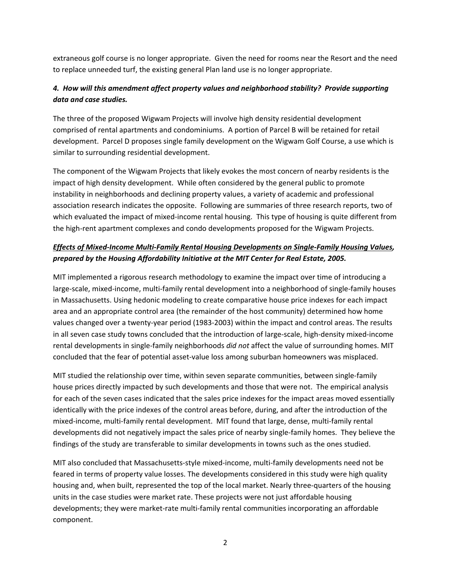extraneous golf course is no longer appropriate. Given the need for rooms near the Resort and the need to replace unneeded turf, the existing general Plan land use is no longer appropriate.

## *4. How will this amendment affect property values and neighborhood stability? Provide supporting data and case studies.*

The three of the proposed Wigwam Projects will involve high density residential development comprised of rental apartments and condominiums. A portion of Parcel B will be retained for retail development. Parcel D proposes single family development on the Wigwam Golf Course, a use which is similar to surrounding residential development.

The component of the Wigwam Projects that likely evokes the most concern of nearby residents is the impact of high density development. While often considered by the general public to promote instability in neighborhoods and declining property values, a variety of academic and professional association research indicates the opposite. Following are summaries of three research reports, two of which evaluated the impact of mixed-income rental housing. This type of housing is quite different from the high‐rent apartment complexes and condo developments proposed for the Wigwam Projects.

## *Effects of Mixed‐Income Multi‐Family Rental Housing Developments on Single‐Family Housing Values, prepared by the Housing Affordability Initiative at the MIT Center for Real Estate, 2005.*

MIT implemented a rigorous research methodology to examine the impact over time of introducing a large-scale, mixed-income, multi-family rental development into a neighborhood of single-family houses in Massachusetts. Using hedonic modeling to create comparative house price indexes for each impact area and an appropriate control area (the remainder of the host community) determined how home values changed over a twenty-year period (1983-2003) within the impact and control areas. The results in all seven case study towns concluded that the introduction of large-scale, high-density mixed-income rental developments in single‐family neighborhoods *did not* affect the value of surrounding homes. MIT concluded that the fear of potential asset-value loss among suburban homeowners was misplaced.

MIT studied the relationship over time, within seven separate communities, between single-family house prices directly impacted by such developments and those that were not. The empirical analysis for each of the seven cases indicated that the sales price indexes for the impact areas moved essentially identically with the price indexes of the control areas before, during, and after the introduction of the mixed‐income, multi‐family rental development. MIT found that large, dense, multi‐family rental developments did not negatively impact the sales price of nearby single‐family homes. They believe the findings of the study are transferable to similar developments in towns such as the ones studied.

MIT also concluded that Massachusetts‐style mixed‐income, multi‐family developments need not be feared in terms of property value losses. The developments considered in this study were high quality housing and, when built, represented the top of the local market. Nearly three-quarters of the housing units in the case studies were market rate. These projects were not just affordable housing developments; they were market‐rate multi‐family rental communities incorporating an affordable component.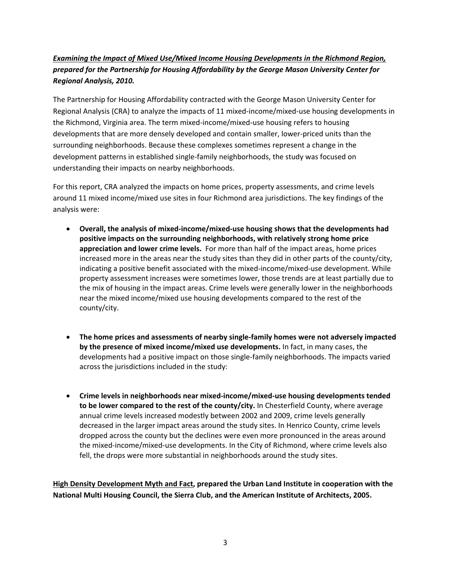# *Examining the Impact of Mixed Use/Mixed Income Housing Developments in the Richmond Region, prepared for the Partnership for Housing Affordability by the George Mason University Center for Regional Analysis, 2010.*

The Partnership for Housing Affordability contracted with the George Mason University Center for Regional Analysis (CRA) to analyze the impacts of 11 mixed‐income/mixed‐use housing developments in the Richmond, Virginia area. The term mixed‐income/mixed‐use housing refers to housing developments that are more densely developed and contain smaller, lower‐priced units than the surrounding neighborhoods. Because these complexes sometimes represent a change in the development patterns in established single‐family neighborhoods, the study was focused on understanding their impacts on nearby neighborhoods.

For this report, CRA analyzed the impacts on home prices, property assessments, and crime levels around 11 mixed income/mixed use sites in four Richmond area jurisdictions. The key findings of the analysis were:

- **Overall, the analysis of mixed‐income/mixed‐use housing shows that the developments had positive impacts on the surrounding neighborhoods, with relatively strong home price appreciation and lower crime levels.** For more than half of the impact areas, home prices increased more in the areas near the study sites than they did in other parts of the county/city, indicating a positive benefit associated with the mixed-income/mixed-use development. While property assessment increases were sometimes lower, those trends are at least partially due to the mix of housing in the impact areas. Crime levels were generally lower in the neighborhoods near the mixed income/mixed use housing developments compared to the rest of the county/city.
- **The home prices and assessments of nearby single‐family homes were not adversely impacted by the presence of mixed income/mixed use developments.** In fact, in many cases, the developments had a positive impact on those single‐family neighborhoods. The impacts varied across the jurisdictions included in the study:
- **Crime levels in neighborhoods near mixed‐income/mixed‐use housing developments tended to be lower compared to the rest of the county/city.** In Chesterfield County, where average annual crime levels increased modestly between 2002 and 2009, crime levels generally decreased in the larger impact areas around the study sites. In Henrico County, crime levels dropped across the county but the declines were even more pronounced in the areas around the mixed‐income/mixed‐use developments. In the City of Richmond, where crime levels also fell, the drops were more substantial in neighborhoods around the study sites.

**High Density Development Myth and Fact, prepared the Urban Land Institute in cooperation with the National Multi Housing Council, the Sierra Club, and the American Institute of Architects, 2005.**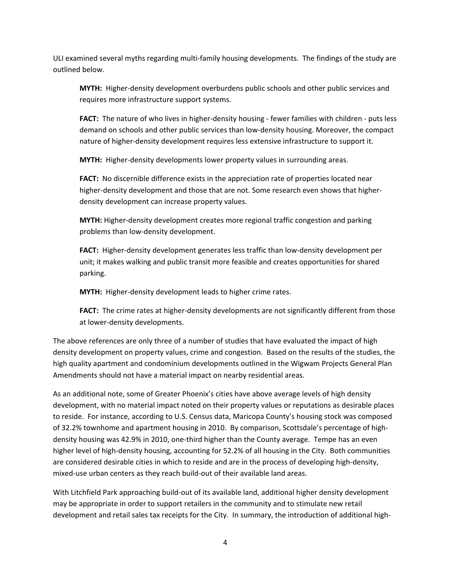ULI examined several myths regarding multi‐family housing developments. The findings of the study are outlined below.

**MYTH:** Higher‐density development overburdens public schools and other public services and requires more infrastructure support systems.

**FACT:** The nature of who lives in higher-density housing - fewer families with children - puts less demand on schools and other public services than low‐density housing. Moreover, the compact nature of higher-density development requires less extensive infrastructure to support it.

**MYTH:** Higher-density developments lower property values in surrounding areas.

FACT: No discernible difference exists in the appreciation rate of properties located near higher-density development and those that are not. Some research even shows that higherdensity development can increase property values.

**MYTH:** Higher‐density development creates more regional traffic congestion and parking problems than low‐density development.

**FACT:** Higher-density development generates less traffic than low-density development per unit; it makes walking and public transit more feasible and creates opportunities for shared parking.

**MYTH:** Higher-density development leads to higher crime rates.

**FACT:** The crime rates at higher-density developments are not significantly different from those at lower‐density developments.

The above references are only three of a number of studies that have evaluated the impact of high density development on property values, crime and congestion. Based on the results of the studies, the high quality apartment and condominium developments outlined in the Wigwam Projects General Plan Amendments should not have a material impact on nearby residential areas.

As an additional note, some of Greater Phoenix's cities have above average levels of high density development, with no material impact noted on their property values or reputations as desirable places to reside. For instance, according to U.S. Census data, Maricopa County's housing stock was composed of 32.2% townhome and apartment housing in 2010. By comparison, Scottsdale's percentage of high‐ density housing was 42.9% in 2010, one‐third higher than the County average. Tempe has an even higher level of high-density housing, accounting for 52.2% of all housing in the City. Both communities are considered desirable cities in which to reside and are in the process of developing high-density, mixed‐use urban centers as they reach build‐out of their available land areas.

With Litchfield Park approaching build‐out of its available land, additional higher density development may be appropriate in order to support retailers in the community and to stimulate new retail development and retail sales tax receipts for the City. In summary, the introduction of additional high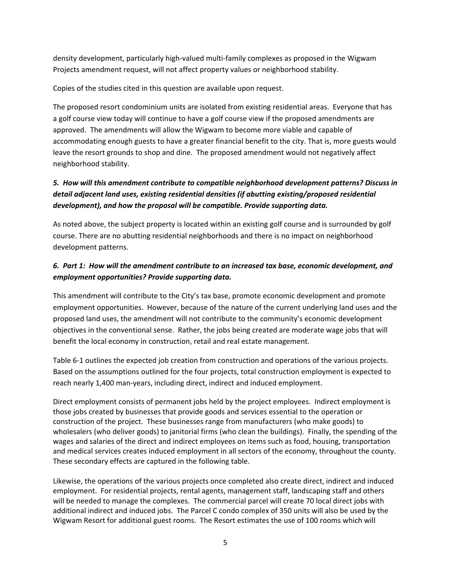density development, particularly high‐valued multi‐family complexes as proposed in the Wigwam Projects amendment request, will not affect property values or neighborhood stability.

Copies of the studies cited in this question are available upon request.

The proposed resort condominium units are isolated from existing residential areas. Everyone that has a golf course view today will continue to have a golf course view if the proposed amendments are approved. The amendments will allow the Wigwam to become more viable and capable of accommodating enough guests to have a greater financial benefit to the city. That is, more guests would leave the resort grounds to shop and dine. The proposed amendment would not negatively affect neighborhood stability.

# *5. How will this amendment contribute to compatible neighborhood development patterns? Discuss in detail adjacent land uses, existing residential densities (if abutting existing/proposed residential development), and how the proposal will be compatible. Provide supporting data.*

As noted above, the subject property is located within an existing golf course and is surrounded by golf course. There are no abutting residential neighborhoods and there is no impact on neighborhood development patterns.

## *6. Part 1: How will the amendment contribute to an increased tax base, economic development, and employment opportunities? Provide supporting data.*

This amendment will contribute to the City's tax base, promote economic development and promote employment opportunities. However, because of the nature of the current underlying land uses and the proposed land uses, the amendment will not contribute to the community's economic development objectives in the conventional sense. Rather, the jobs being created are moderate wage jobs that will benefit the local economy in construction, retail and real estate management.

Table 6-1 outlines the expected job creation from construction and operations of the various projects. Based on the assumptions outlined for the four projects, total construction employment is expected to reach nearly 1,400 man‐years, including direct, indirect and induced employment.

Direct employment consists of permanent jobs held by the project employees. Indirect employment is those jobs created by businesses that provide goods and services essential to the operation or construction of the project. These businesses range from manufacturers (who make goods) to wholesalers (who deliver goods) to janitorial firms (who clean the buildings). Finally, the spending of the wages and salaries of the direct and indirect employees on items such as food, housing, transportation and medical services creates induced employment in all sectors of the economy, throughout the county. These secondary effects are captured in the following table.

Likewise, the operations of the various projects once completed also create direct, indirect and induced employment. For residential projects, rental agents, management staff, landscaping staff and others will be needed to manage the complexes. The commercial parcel will create 70 local direct jobs with additional indirect and induced jobs. The Parcel C condo complex of 350 units will also be used by the Wigwam Resort for additional guest rooms. The Resort estimates the use of 100 rooms which will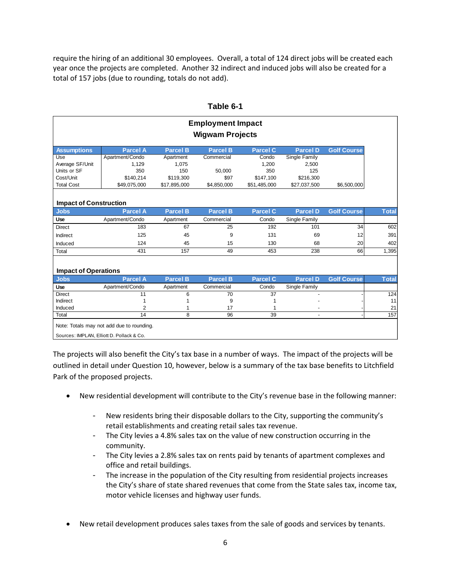require the hiring of an additional 30 employees. Overall, a total of 124 direct jobs will be created each year once the projects are completed. Another 32 indirect and induced jobs will also be created for a total of 157 jobs (due to rounding, totals do not add).

| <b>Employment Impact</b>                  |                                           |                 |                 |                 |                          |                    |              |  |  |  |
|-------------------------------------------|-------------------------------------------|-----------------|-----------------|-----------------|--------------------------|--------------------|--------------|--|--|--|
| <b>Wigwam Projects</b>                    |                                           |                 |                 |                 |                          |                    |              |  |  |  |
| <b>Assumptions</b>                        | <b>Parcel A</b>                           | <b>Parcel B</b> | <b>Parcel B</b> | <b>Parcel C</b> | <b>Parcel D</b>          | <b>Golf Course</b> |              |  |  |  |
| Use                                       | Apartment/Condo                           | Apartment       | Commercial      | Condo           | Single Family            |                    |              |  |  |  |
| Average SF/Unit                           | 1,129                                     | 1,075           |                 | 1,200           | 2,500                    |                    |              |  |  |  |
| Units or SF                               | 350                                       | 150             | 50,000          | 350             | 125                      |                    |              |  |  |  |
| Cost/Unit                                 | \$140,214                                 | \$119,300       | \$97            | \$147,100       | \$216,300                |                    |              |  |  |  |
| <b>Total Cost</b>                         | \$49,075,000                              | \$17,895,000    | \$4,850,000     | \$51,485,000    | \$27,037,500             | \$6,500,000        |              |  |  |  |
|                                           |                                           |                 |                 |                 |                          |                    |              |  |  |  |
| <b>Impact of Construction</b>             |                                           |                 |                 |                 |                          |                    |              |  |  |  |
| <b>Jobs</b>                               | <b>Parcel A</b>                           | <b>Parcel B</b> | <b>Parcel B</b> | <b>Parcel C</b> | <b>Parcel D</b>          | <b>Golf Course</b> | <b>Total</b> |  |  |  |
| Use                                       | Apartment/Condo                           | Apartment       | Commercial      | Condo           | Single Family            |                    |              |  |  |  |
| <b>Direct</b>                             | 183                                       | 67              | 25              | 192             | 101                      | 34                 | 602          |  |  |  |
| Indirect                                  | 125                                       | 45              | 9               | 131             | 69                       | 12                 | 391          |  |  |  |
| Induced                                   | 124                                       | 45              | 15              | 130             | 68                       | 20                 | 402          |  |  |  |
| Total                                     | 431                                       | 157             | 49              | 453             | 238                      | 66                 | 1,395        |  |  |  |
|                                           |                                           |                 |                 |                 |                          |                    |              |  |  |  |
| <b>Impact of Operations</b>               |                                           |                 |                 |                 |                          |                    |              |  |  |  |
| <b>Jobs</b>                               | <b>Parcel A</b>                           | <b>Parcel B</b> | <b>Parcel B</b> | <b>Parcel C</b> | <b>Parcel D</b>          | <b>Golf Course</b> | <b>Total</b> |  |  |  |
| Use                                       | Apartment/Condo                           | Apartment       | Commercial      | Condo           | Single Family            |                    |              |  |  |  |
| <b>Direct</b>                             | 11                                        | 6               | 70              | 37              |                          |                    | 124          |  |  |  |
| Indirect                                  |                                           |                 | 9               |                 |                          |                    | 11           |  |  |  |
| Induced                                   | 2                                         |                 | 17              |                 |                          |                    | 21           |  |  |  |
| Total                                     | 14                                        | 8               | 96              | 39              | $\overline{\phantom{a}}$ |                    | 157          |  |  |  |
| Sources: IMPLAN, Elliott D. Pollack & Co. | Note: Totals may not add due to rounding. |                 |                 |                 |                          |                    |              |  |  |  |
|                                           |                                           |                 |                 |                 |                          |                    |              |  |  |  |

#### **Table 6-1**

The projects will also benefit the City's tax base in a number of ways. The impact of the projects will be outlined in detail under Question 10, however, below is a summary of the tax base benefits to Litchfield Park of the proposed projects.

- New residential development will contribute to the City's revenue base in the following manner:
	- New residents bring their disposable dollars to the City, supporting the community's retail establishments and creating retail sales tax revenue.
	- The City levies a 4.8% sales tax on the value of new construction occurring in the community.
	- The City levies a 2.8% sales tax on rents paid by tenants of apartment complexes and office and retail buildings.
	- The increase in the population of the City resulting from residential projects increases the City's share of state shared revenues that come from the State sales tax, income tax, motor vehicle licenses and highway user funds.
- New retail development produces sales taxes from the sale of goods and services by tenants.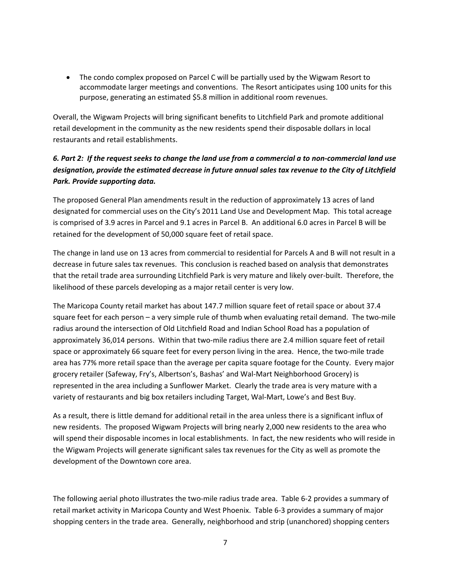• The condo complex proposed on Parcel C will be partially used by the Wigwam Resort to accommodate larger meetings and conventions. The Resort anticipates using 100 units for this purpose, generating an estimated \$5.8 million in additional room revenues.

Overall, the Wigwam Projects will bring significant benefits to Litchfield Park and promote additional retail development in the community as the new residents spend their disposable dollars in local restaurants and retail establishments.

# 6. Part 2: If the request seeks to change the land use from a commercial a to non-commercial land use *designation, provide the estimated decrease in future annual sales tax revenue to the City of Litchfield Park. Provide supporting data.*

The proposed General Plan amendments result in the reduction of approximately 13 acres of land designated for commercial uses on the City's 2011 Land Use and Development Map. This total acreage is comprised of 3.9 acres in Parcel and 9.1 acres in Parcel B. An additional 6.0 acres in Parcel B will be retained for the development of 50,000 square feet of retail space.

The change in land use on 13 acres from commercial to residential for Parcels A and B will not result in a decrease in future sales tax revenues. This conclusion is reached based on analysis that demonstrates that the retail trade area surrounding Litchfield Park is very mature and likely over‐built. Therefore, the likelihood of these parcels developing as a major retail center is very low.

The Maricopa County retail market has about 147.7 million square feet of retail space or about 37.4 square feet for each person – a very simple rule of thumb when evaluating retail demand. The two-mile radius around the intersection of Old Litchfield Road and Indian School Road has a population of approximately 36,014 persons. Within that two-mile radius there are 2.4 million square feet of retail space or approximately 66 square feet for every person living in the area. Hence, the two-mile trade area has 77% more retail space than the average per capita square footage for the County. Every major grocery retailer (Safeway, Fry's, Albertson's, Bashas' and Wal‐Mart Neighborhood Grocery) is represented in the area including a Sunflower Market. Clearly the trade area is very mature with a variety of restaurants and big box retailers including Target, Wal‐Mart, Lowe's and Best Buy.

As a result, there is little demand for additional retail in the area unless there is a significant influx of new residents. The proposed Wigwam Projects will bring nearly 2,000 new residents to the area who will spend their disposable incomes in local establishments. In fact, the new residents who will reside in the Wigwam Projects will generate significant sales tax revenues for the City as well as promote the development of the Downtown core area.

The following aerial photo illustrates the two-mile radius trade area. Table 6-2 provides a summary of retail market activity in Maricopa County and West Phoenix. Table 6‐3 provides a summary of major shopping centers in the trade area. Generally, neighborhood and strip (unanchored) shopping centers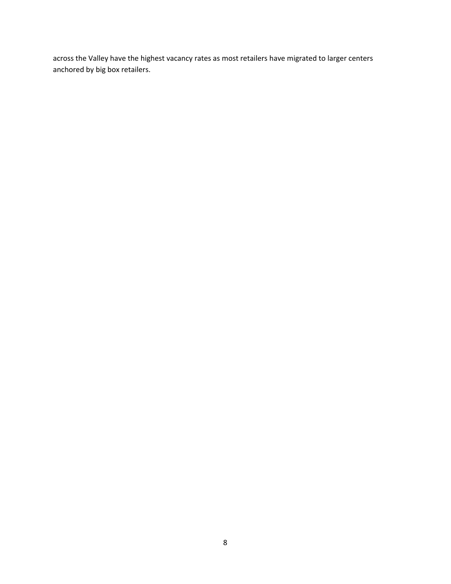across the Valley have the highest vacancy rates as most retailers have migrated to larger centers anchored by big box retailers.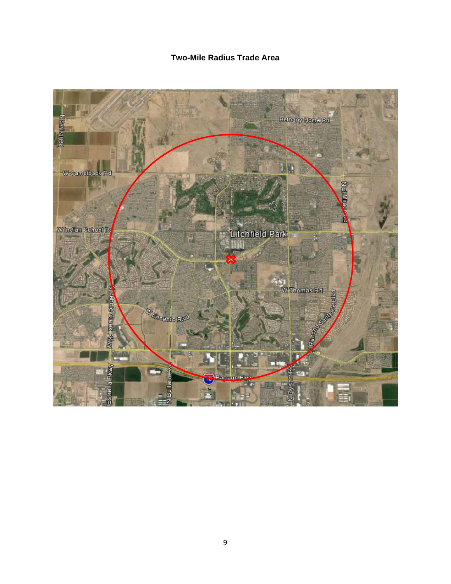# **Two-Mile Radius Trade Area**

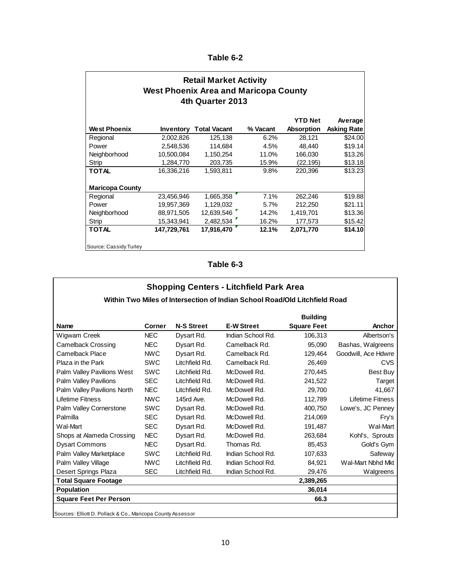**Table 6-2** 

| <b>Retail Market Activity</b><br><b>West Phoenix Area and Maricopa County</b><br>4th Quarter 2013 |             |                     |          |                                     |                               |  |  |  |
|---------------------------------------------------------------------------------------------------|-------------|---------------------|----------|-------------------------------------|-------------------------------|--|--|--|
| <b>West Phoenix</b>                                                                               | Inventory   | <b>Total Vacant</b> | % Vacant | <b>YTD Net</b><br><b>Absorption</b> | Average<br><b>Asking Rate</b> |  |  |  |
| Regional                                                                                          | 2,002,826   | 125.138             | 6.2%     | 28.121                              | \$24.00                       |  |  |  |
| Power                                                                                             | 2,548,536   | 114,684             | 4.5%     | 48.440                              | \$19.14                       |  |  |  |
| Neighborhood                                                                                      | 10,500,084  | 1,150,254           | 11.0%    | 166,030                             | \$13.26                       |  |  |  |
| Strip                                                                                             | 1,284,770   | 203,735             | 15.9%    | (22,195)                            | \$13.18                       |  |  |  |
| <b>TOTAL</b>                                                                                      | 16,336,216  | 1,593,811           | 9.8%     | 220,396                             | \$13.23                       |  |  |  |
| <b>Maricopa County</b>                                                                            |             |                     |          |                                     |                               |  |  |  |
| Regional                                                                                          | 23,456,946  | 1,665,358           | 7.1%     | 262,246                             | \$19.88                       |  |  |  |
| Power                                                                                             | 19,957,369  | 1,129,032           | 5.7%     | 212,250                             | \$21.11                       |  |  |  |
| Neighborhood                                                                                      | 88,971,505  | 12,639,546          | 14.2%    | 1,419,701                           | \$13.36                       |  |  |  |
| Strip                                                                                             | 15,343,941  | 2,482,534           | 16.2%    | 177,573                             | \$15.42                       |  |  |  |
| <b>TOTAL</b>                                                                                      | 147,729,761 | 17.916.470          | 12.1%    | 2,071,770                           | \$14.10                       |  |  |  |
| Source: Cassidy Turley                                                                            |             |                     |          |                                     |                               |  |  |  |

**Table 6-3** 

| <b>Shopping Centers - Litchfield Park Area</b>                             |            |                   |                   |                    |                     |  |  |  |  |
|----------------------------------------------------------------------------|------------|-------------------|-------------------|--------------------|---------------------|--|--|--|--|
| Within Two Miles of Intersection of Indian School Road/Old Litchfield Road |            |                   |                   |                    |                     |  |  |  |  |
| <b>Building</b>                                                            |            |                   |                   |                    |                     |  |  |  |  |
| Name                                                                       | Corner     | <b>N-S Street</b> | <b>E-W Street</b> | <b>Square Feet</b> | Anchor              |  |  |  |  |
| Wigwam Creek                                                               | <b>NEC</b> | Dysart Rd.        | Indian School Rd. | 106,313            | Albertson's         |  |  |  |  |
| <b>Camelback Crossing</b>                                                  | <b>NEC</b> | Dysart Rd.        | Camelback Rd.     | 95.090             | Bashas, Walgreens   |  |  |  |  |
| Camelback Place                                                            | <b>NWC</b> | Dysart Rd.        | Camelback Rd.     | 129.464            | Goodwill. Ace Hdwre |  |  |  |  |
| Plaza in the Park                                                          | <b>SWC</b> | I itchfield Rd.   | Camelback Rd.     | 26,469             | CVS                 |  |  |  |  |
| Palm Valley Pavilions West                                                 | <b>SWC</b> | Litchfield Rd.    | McDowell Rd.      | 270,445            | Best Buy            |  |  |  |  |
| <b>Palm Valley Pavilions</b>                                               | <b>SEC</b> | Litchfield Rd.    | McDowell Rd.      | 241,522            | Target              |  |  |  |  |
| Palm Valley Pavilions North                                                | NFC        | I itchfield Rd.   | McDowell Rd.      | 29,700             | 41,667              |  |  |  |  |
| Lifetime Fitness                                                           | <b>NWC</b> | 145rd Ave.        | McDowell Rd.      | 112,789            | Lifetime Fitness    |  |  |  |  |
| Palm Valley Cornerstone                                                    | <b>SWC</b> | Dysart Rd.        | McDowell Rd.      | 400,750            | Lowe's, JC Penney   |  |  |  |  |
| Palmilla                                                                   | <b>SEC</b> | Dysart Rd.        | McDowell Rd.      | 214,069            | Fry's               |  |  |  |  |
| Wal-Mart                                                                   | <b>SEC</b> | Dysart Rd.        | McDowell Rd.      | 191,487            | Wal-Mart            |  |  |  |  |
| Shops at Alameda Crossing                                                  | <b>NEC</b> | Dysart Rd.        | McDowell Rd.      | 263,684            | Kohl's, Sprouts     |  |  |  |  |
| <b>Dysart Commons</b>                                                      | <b>NEC</b> | Dysart Rd.        | Thomas Rd.        | 85,453             | Gold's Gym          |  |  |  |  |
| Palm Valley Marketplace                                                    | <b>SWC</b> | Litchfield Rd.    | Indian School Rd. | 107,633            | Safeway             |  |  |  |  |
| Palm Valley Village                                                        | <b>NWC</b> | Litchfield Rd.    | Indian School Rd. | 84,921             | Wal-Mart Nbhd Mkt   |  |  |  |  |
| Desert Springs Plaza                                                       | <b>SEC</b> | Litchfield Rd.    | Indian School Rd. | 29,476             | Walgreens           |  |  |  |  |
| <b>Total Square Footage</b>                                                |            |                   |                   | 2,389,265          |                     |  |  |  |  |
| <b>Population</b>                                                          |            |                   |                   | 36,014             |                     |  |  |  |  |
| <b>Square Feet Per Person</b>                                              |            |                   |                   | 66.3               |                     |  |  |  |  |
|                                                                            |            |                   |                   |                    |                     |  |  |  |  |

Sources: Elliott D. Pollack & Co., Maricopa County Assessor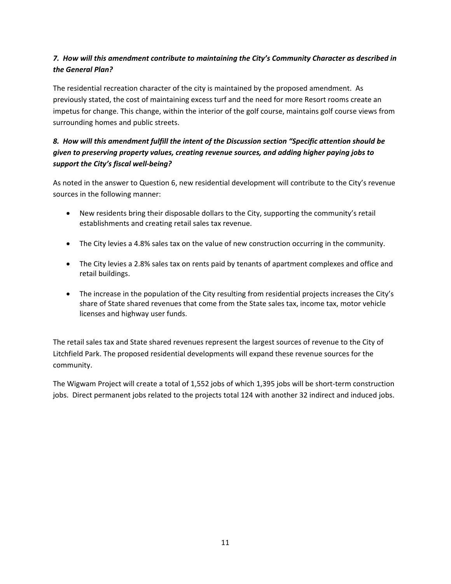## *7. How will this amendment contribute to maintaining the City's Community Character as described in the General Plan?*

The residential recreation character of the city is maintained by the proposed amendment. As previously stated, the cost of maintaining excess turf and the need for more Resort rooms create an impetus for change. This change, within the interior of the golf course, maintains golf course views from surrounding homes and public streets.

## *8. How will this amendment fulfill the intent of the Discussion section "Specific attention should be given to preserving property values, creating revenue sources, and adding higher paying jobs to support the City's fiscal well‐being?*

As noted in the answer to Question 6, new residential development will contribute to the City's revenue sources in the following manner:

- New residents bring their disposable dollars to the City, supporting the community's retail establishments and creating retail sales tax revenue.
- The City levies a 4.8% sales tax on the value of new construction occurring in the community.
- The City levies a 2.8% sales tax on rents paid by tenants of apartment complexes and office and retail buildings.
- The increase in the population of the City resulting from residential projects increases the City's share of State shared revenues that come from the State sales tax, income tax, motor vehicle licenses and highway user funds.

The retail sales tax and State shared revenues represent the largest sources of revenue to the City of Litchfield Park. The proposed residential developments will expand these revenue sources for the community.

The Wigwam Project will create a total of 1,552 jobs of which 1,395 jobs will be short‐term construction jobs. Direct permanent jobs related to the projects total 124 with another 32 indirect and induced jobs.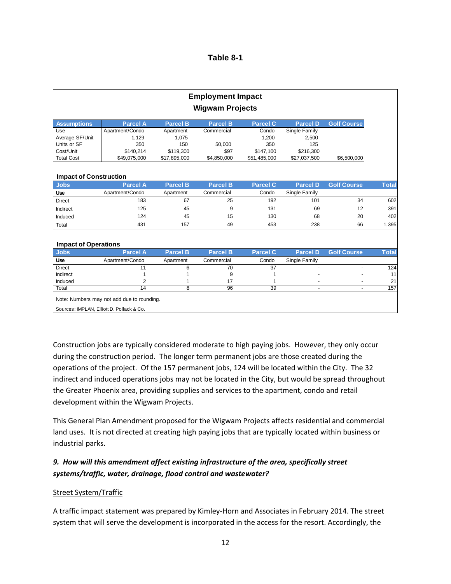| Table 8-1 |  |
|-----------|--|
|-----------|--|

| <b>Employment Impact</b>                   |                 |                 |                 |                 |                 |                    |  |  |  |  |
|--------------------------------------------|-----------------|-----------------|-----------------|-----------------|-----------------|--------------------|--|--|--|--|
| <b>Wigwam Projects</b>                     |                 |                 |                 |                 |                 |                    |  |  |  |  |
| <b>Assumptions</b>                         | <b>Parcel A</b> | <b>Parcel B</b> | Parcel B        | <b>Parcel C</b> | <b>Parcel D</b> | <b>Golf Course</b> |  |  |  |  |
| Use                                        | Apartment/Condo | Apartment       | Commercial      | Condo           | Single Family   |                    |  |  |  |  |
| Average SF/Unit                            | 1.129           | 1.075           |                 | 1.200           | 2.500           |                    |  |  |  |  |
| Units or SF                                | 350             | 150             | 50,000          | 350             | 125             |                    |  |  |  |  |
| Cost/Unit                                  | \$140.214       | \$119,300       | \$97            | \$147.100       | \$216,300       |                    |  |  |  |  |
| <b>Total Cost</b>                          | \$49,075,000    | \$17,895,000    | \$4,850,000     | \$51,485,000    | \$27,037,500    | \$6,500,000        |  |  |  |  |
|                                            |                 |                 |                 |                 |                 |                    |  |  |  |  |
| <b>Impact of Construction</b>              |                 |                 |                 |                 |                 |                    |  |  |  |  |
| <b>Jobs</b>                                | <b>Parcel A</b> | <b>Parcel B</b> | <b>Parcel B</b> | <b>Parcel C</b> | <b>Parcel D</b> | <b>Golf Course</b> |  |  |  |  |
| Use                                        | Apartment/Condo | Apartment       | Commercial      | Condo           | Single Family   |                    |  |  |  |  |
| <b>Direct</b>                              | 183             | 67              | 25              | 192             | 101             | 34                 |  |  |  |  |
| Indirect                                   | 125             | 45              | 9               | 131             | 69              | 12                 |  |  |  |  |
| Induced                                    | 124             | 45              | 15              | 130             | 68              | 20                 |  |  |  |  |
| Total                                      | 431             | 157             | 49              | 453             | 238             | 66                 |  |  |  |  |
|                                            |                 |                 |                 |                 |                 |                    |  |  |  |  |
| <b>Impact of Operations</b><br><b>Jobs</b> | <b>Parcel A</b> | <b>Parcel B</b> | <b>Parcel B</b> | <b>Parcel C</b> | <b>Parcel D</b> | <b>Golf Course</b> |  |  |  |  |
| Use                                        | Apartment/Condo | Apartment       | Commercial      | Condo           | Single Family   |                    |  |  |  |  |
| <b>Direct</b>                              | 11              | 6               | 70              | $\overline{37}$ |                 |                    |  |  |  |  |
| Indirect                                   |                 |                 | 9               |                 |                 |                    |  |  |  |  |
| Induced                                    | $\overline{2}$  | 1               | 17              |                 |                 |                    |  |  |  |  |
|                                            |                 | 8               | 96              | 39              | $\blacksquare$  |                    |  |  |  |  |

Construction jobs are typically considered moderate to high paying jobs. However, they only occur during the construction period. The longer term permanent jobs are those created during the operations of the project. Of the 157 permanent jobs, 124 will be located within the City. The 32 indirect and induced operations jobs may not be located in the City, but would be spread throughout the Greater Phoenix area, providing supplies and services to the apartment, condo and retail development within the Wigwam Projects.

This General Plan Amendment proposed for the Wigwam Projects affects residential and commercial land uses. It is not directed at creating high paying jobs that are typically located within business or industrial parks.

## *9. How will this amendment affect existing infrastructure of the area, specifically street systems/traffic, water, drainage, flood control and wastewater?*

#### Street System/Traffic

A traffic impact statement was prepared by Kimley‐Horn and Associates in February 2014. The street system that will serve the development is incorporated in the access for the resort. Accordingly, the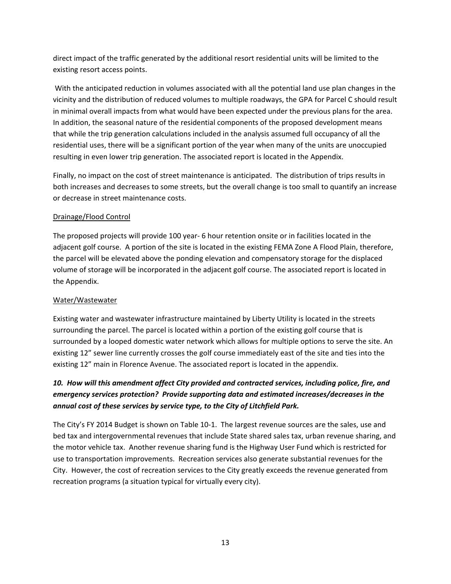direct impact of the traffic generated by the additional resort residential units will be limited to the existing resort access points.

With the anticipated reduction in volumes associated with all the potential land use plan changes in the vicinity and the distribution of reduced volumes to multiple roadways, the GPA for Parcel C should result in minimal overall impacts from what would have been expected under the previous plans for the area. In addition, the seasonal nature of the residential components of the proposed development means that while the trip generation calculations included in the analysis assumed full occupancy of all the residential uses, there will be a significant portion of the year when many of the units are unoccupied resulting in even lower trip generation. The associated report is located in the Appendix.

Finally, no impact on the cost of street maintenance is anticipated. The distribution of trips results in both increases and decreases to some streets, but the overall change is too small to quantify an increase or decrease in street maintenance costs.

## Drainage/Flood Control

The proposed projects will provide 100 year- 6 hour retention onsite or in facilities located in the adjacent golf course. A portion of the site is located in the existing FEMA Zone A Flood Plain, therefore, the parcel will be elevated above the ponding elevation and compensatory storage for the displaced volume of storage will be incorporated in the adjacent golf course. The associated report is located in the Appendix.

#### Water/Wastewater

Existing water and wastewater infrastructure maintained by Liberty Utility is located in the streets surrounding the parcel. The parcel is located within a portion of the existing golf course that is surrounded by a looped domestic water network which allows for multiple options to serve the site. An existing 12" sewer line currently crosses the golf course immediately east of the site and ties into the existing 12" main in Florence Avenue. The associated report is located in the appendix.

# *10. How will this amendment affect City provided and contracted services, including police, fire, and emergency services protection? Provide supporting data and estimated increases/decreases in the annual cost of these services by service type, to the City of Litchfield Park.*

The City's FY 2014 Budget is shown on Table 10‐1. The largest revenue sources are the sales, use and bed tax and intergovernmental revenues that include State shared sales tax, urban revenue sharing, and the motor vehicle tax. Another revenue sharing fund is the Highway User Fund which is restricted for use to transportation improvements. Recreation services also generate substantial revenues for the City. However, the cost of recreation services to the City greatly exceeds the revenue generated from recreation programs (a situation typical for virtually every city).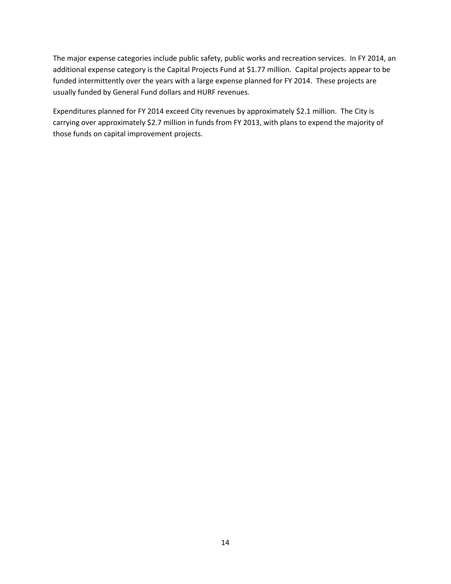The major expense categories include public safety, public works and recreation services. In FY 2014, an additional expense category is the Capital Projects Fund at \$1.77 million. Capital projects appear to be funded intermittently over the years with a large expense planned for FY 2014. These projects are usually funded by General Fund dollars and HURF revenues.

Expenditures planned for FY 2014 exceed City revenues by approximately \$2.1 million. The City is carrying over approximately \$2.7 million in funds from FY 2013, with plans to expend the majority of those funds on capital improvement projects.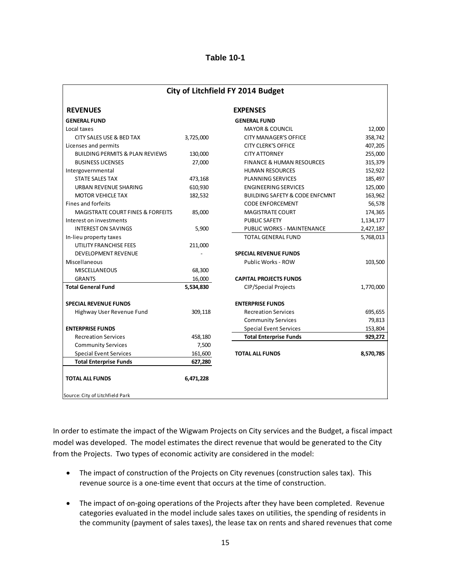| City of Litchfield FY 2014 Budget                         |           |                                           |           |  |  |  |  |
|-----------------------------------------------------------|-----------|-------------------------------------------|-----------|--|--|--|--|
| <b>REVENUES</b>                                           |           | <b>EXPENSES</b>                           |           |  |  |  |  |
| <b>GENERAL FUND</b>                                       |           | <b>GENERAL FUND</b>                       |           |  |  |  |  |
| Local taxes                                               |           | <b>MAYOR &amp; COUNCIL</b>                | 12,000    |  |  |  |  |
| CITY SALES USE & BED TAX                                  | 3,725,000 | <b>CITY MANAGER'S OFFICE</b>              | 358,742   |  |  |  |  |
| Licenses and permits                                      |           | <b>CITY CLERK'S OFFICE</b>                | 407,205   |  |  |  |  |
| <b>BUILDING PERMITS &amp; PLAN REVIEWS</b>                | 130,000   | <b>CITY ATTORNEY</b>                      | 255,000   |  |  |  |  |
| <b>BUSINESS LICENSES</b>                                  | 27,000    | <b>FINANCE &amp; HUMAN RESOURCES</b>      | 315,379   |  |  |  |  |
| Intergovernmental                                         |           | <b>HUMAN RESOURCES</b>                    | 152,922   |  |  |  |  |
| <b>STATE SALES TAX</b>                                    | 473,168   | PLANNING SERVICES                         | 185,497   |  |  |  |  |
| URBAN REVENUE SHARING                                     | 610,930   | <b>ENGINEERING SERVICES</b>               | 125,000   |  |  |  |  |
| <b>MOTOR VEHICLE TAX</b>                                  | 182,532   | <b>BUILDING SAFETY &amp; CODE ENFCMNT</b> | 163,962   |  |  |  |  |
| Fines and forfeits                                        |           | <b>CODE ENFORCEMENT</b>                   | 56,578    |  |  |  |  |
| <b>MAGISTRATE COURT FINES &amp; FORFEITS</b>              | 85,000    | <b>MAGISTRATE COURT</b>                   | 174,365   |  |  |  |  |
| Interest on investments                                   |           | <b>PUBLIC SAFETY</b>                      | 1,134,177 |  |  |  |  |
| <b>INTEREST ON SAVINGS</b>                                | 5,900     | PUBLIC WORKS - MAINTENANCE                | 2,427,187 |  |  |  |  |
| In-lieu property taxes                                    |           | <b>TOTAL GENERAL FUND</b>                 | 5,768,013 |  |  |  |  |
| UTILITY FRANCHISE FEES                                    | 211,000   |                                           |           |  |  |  |  |
| <b>DEVELOPMENT REVENUE</b>                                |           | <b>SPECIAL REVENUE FUNDS</b>              |           |  |  |  |  |
| Miscellaneous                                             |           | Public Works - ROW                        | 103,500   |  |  |  |  |
| <b>MISCELLANEOUS</b>                                      | 68,300    |                                           |           |  |  |  |  |
| <b>GRANTS</b>                                             | 16,000    | <b>CAPITAL PROJECTS FUNDS</b>             |           |  |  |  |  |
| <b>Total General Fund</b>                                 | 5,534,830 | <b>CIP/Special Projects</b>               | 1,770,000 |  |  |  |  |
| <b>SPECIAL REVENUE FUNDS</b>                              |           | <b>ENTERPRISE FUNDS</b>                   |           |  |  |  |  |
| Highway User Revenue Fund                                 | 309,118   | <b>Recreation Services</b>                | 695,655   |  |  |  |  |
|                                                           |           | <b>Community Services</b>                 | 79,813    |  |  |  |  |
| <b>ENTERPRISE FUNDS</b>                                   |           | <b>Special Event Services</b>             | 153,804   |  |  |  |  |
| <b>Recreation Services</b>                                | 458,180   | <b>Total Enterprise Funds</b>             | 929,272   |  |  |  |  |
| <b>Community Services</b>                                 | 7,500     |                                           |           |  |  |  |  |
| <b>Special Event Services</b>                             | 161,600   | <b>TOTAL ALL FUNDS</b>                    | 8,570,785 |  |  |  |  |
| <b>Total Enterprise Funds</b>                             | 627,280   |                                           |           |  |  |  |  |
| <b>TOTAL ALL FUNDS</b><br>Source: City of Litchfield Park | 6,471,228 |                                           |           |  |  |  |  |

In order to estimate the impact of the Wigwam Projects on City services and the Budget, a fiscal impact model was developed. The model estimates the direct revenue that would be generated to the City from the Projects. Two types of economic activity are considered in the model:

- The impact of construction of the Projects on City revenues (construction sales tax). This revenue source is a one-time event that occurs at the time of construction.
- The impact of on-going operations of the Projects after they have been completed. Revenue categories evaluated in the model include sales taxes on utilities, the spending of residents in the community (payment of sales taxes), the lease tax on rents and shared revenues that come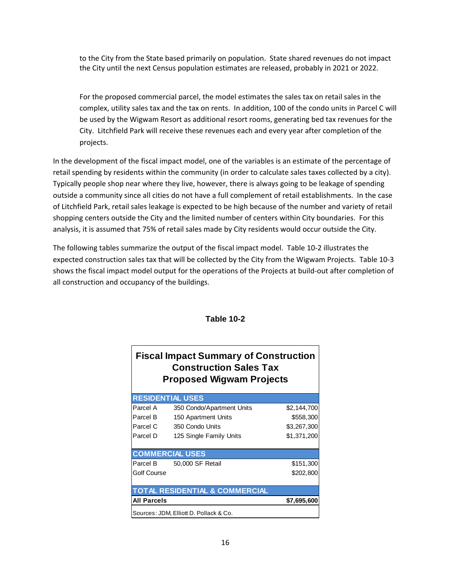to the City from the State based primarily on population. State shared revenues do not impact the City until the next Census population estimates are released, probably in 2021 or 2022.

For the proposed commercial parcel, the model estimates the sales tax on retail sales in the complex, utility sales tax and the tax on rents. In addition, 100 of the condo units in Parcel C will be used by the Wigwam Resort as additional resort rooms, generating bed tax revenues for the City. Litchfield Park will receive these revenues each and every year after completion of the projects.

In the development of the fiscal impact model, one of the variables is an estimate of the percentage of retail spending by residents within the community (in order to calculate sales taxes collected by a city). Typically people shop near where they live, however, there is always going to be leakage of spending outside a community since all cities do not have a full complement of retail establishments. In the case of Litchfield Park, retail sales leakage is expected to be high because of the number and variety of retail shopping centers outside the City and the limited number of centers within City boundaries. For this analysis, it is assumed that 75% of retail sales made by City residents would occur outside the City.

The following tables summarize the output of the fiscal impact model. Table 10‐2 illustrates the expected construction sales tax that will be collected by the City from the Wigwam Projects. Table 10‐3 shows the fiscal impact model output for the operations of the Projects at build‐out after completion of all construction and occupancy of the buildings.

| <b>Construction Sales Tax</b><br><b>Proposed Wigwam Projects</b> |                                           |             |  |  |  |  |  |  |
|------------------------------------------------------------------|-------------------------------------------|-------------|--|--|--|--|--|--|
|                                                                  | <b>RESIDENTIAL USES</b>                   |             |  |  |  |  |  |  |
| Parcel A                                                         | 350 Condo/Apartment Units                 | \$2,144,700 |  |  |  |  |  |  |
| Parcel B                                                         | 150 Apartment Units                       | \$558,300   |  |  |  |  |  |  |
| Parcel C                                                         | 350 Condo Units                           | \$3,267,300 |  |  |  |  |  |  |
| Parcel D                                                         | 125 Single Family Units                   | \$1,371,200 |  |  |  |  |  |  |
|                                                                  | <b>COMMERCIAL USES</b>                    |             |  |  |  |  |  |  |
|                                                                  | Parcel B 50,000 SF Retail                 | \$151,300   |  |  |  |  |  |  |
| Golf Course                                                      |                                           | \$202,800   |  |  |  |  |  |  |
|                                                                  | <b>TOTAL RESIDENTIAL &amp; COMMERCIAL</b> |             |  |  |  |  |  |  |
| <b>All Parcels</b>                                               |                                           | \$7,695,600 |  |  |  |  |  |  |
| Sources: JDM, Elliott D. Pollack & Co.                           |                                           |             |  |  |  |  |  |  |

## **Table 10-2**

**Fiscal Impact Summary of Construction**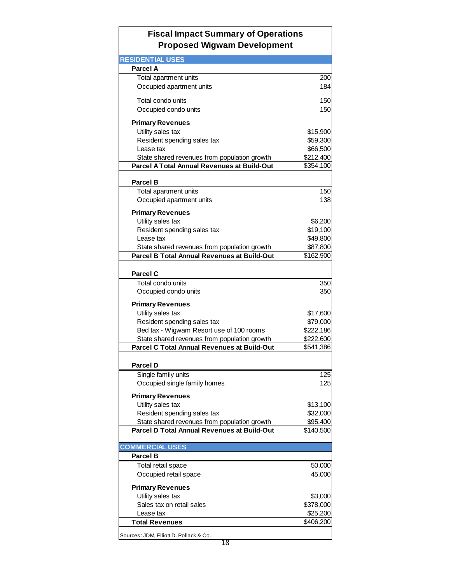# **Fiscal Impact Summary of Operations Proposed Wigwam Development**

| <b>RESIDENTIAL USES</b>                      |           |
|----------------------------------------------|-----------|
| <b>Parcel A</b>                              |           |
| Total apartment units                        | 200       |
| Occupied apartment units                     | 184       |
| Total condo units                            | 150       |
| Occupied condo units                         | 150       |
| <b>Primary Revenues</b>                      |           |
| Utility sales tax                            | \$15,900  |
| Resident spending sales tax                  | \$59,300  |
| Lease tax                                    | \$66,500  |
| State shared revenues from population growth | \$212,400 |
| Parcel A Total Annual Revenues at Build-Out  | \$354,100 |
| <b>Parcel B</b>                              |           |
| Total apartment units                        | 150       |
| Occupied apartment units                     | 138       |
| <b>Primary Revenues</b>                      |           |
| Utility sales tax                            | \$6,200   |
| Resident spending sales tax                  | \$19,100  |
| Lease tax                                    | \$49,800  |
| State shared revenues from population growth | \$87,800  |
| Parcel B Total Annual Revenues at Build-Out  | \$162,900 |
| <b>Parcel C</b>                              |           |
| Total condo units                            | 350       |
| Occupied condo units                         | 350       |
| <b>Primary Revenues</b>                      |           |
| Utility sales tax                            | \$17,600  |
| Resident spending sales tax                  | \$79,000  |
| Bed tax - Wigwam Resort use of 100 rooms     | \$222,186 |
| State shared revenues from population growth | \$222,600 |
| Parcel C Total Annual Revenues at Build-Out  | \$541,386 |
| <b>Parcel D</b>                              |           |
| Single family units                          | 125       |
| Occupied single family homes                 | 125       |
| <b>Primary Revenues</b>                      |           |
| Utility sales tax                            | \$13,100  |
| Resident spending sales tax                  | \$32,000  |
| State shared revenues from population growth | \$95,400  |
| Parcel D Total Annual Revenues at Build-Out  | \$140,500 |
| <b>COMMERCIAL USES</b>                       |           |
| <b>Parcel B</b>                              |           |
| Total retail space                           | 50,000    |
| Occupied retail space                        | 45,000    |
| <b>Primary Revenues</b>                      |           |
| Utility sales tax                            | \$3,000   |
| Sales tax on retail sales                    | \$378,000 |
| Lease tax                                    | \$25,200  |
| <b>Total Revenues</b>                        | \$406,200 |
| Sources: JDM, Elliott D. Pollack & Co.       |           |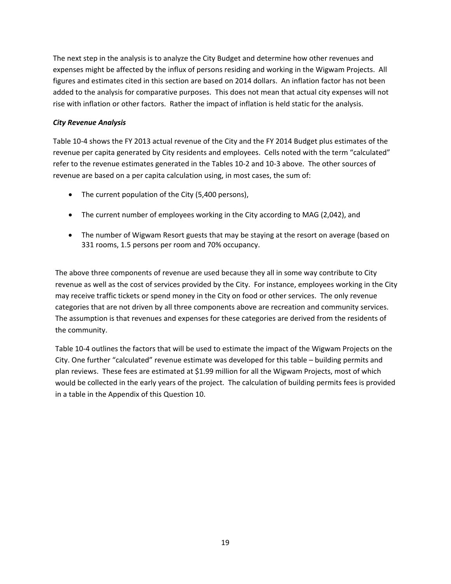The next step in the analysis is to analyze the City Budget and determine how other revenues and expenses might be affected by the influx of persons residing and working in the Wigwam Projects. All figures and estimates cited in this section are based on 2014 dollars. An inflation factor has not been added to the analysis for comparative purposes. This does not mean that actual city expenses will not rise with inflation or other factors. Rather the impact of inflation is held static for the analysis.

#### *City Revenue Analysis*

Table 10‐4 shows the FY 2013 actual revenue of the City and the FY 2014 Budget plus estimates of the revenue per capita generated by City residents and employees. Cells noted with the term "calculated" refer to the revenue estimates generated in the Tables 10‐2 and 10‐3 above. The other sources of revenue are based on a per capita calculation using, in most cases, the sum of:

- The current population of the City (5,400 persons),
- The current number of employees working in the City according to MAG (2,042), and
- The number of Wigwam Resort guests that may be staying at the resort on average (based on 331 rooms, 1.5 persons per room and 70% occupancy.

The above three components of revenue are used because they all in some way contribute to City revenue as well as the cost of services provided by the City. For instance, employees working in the City may receive traffic tickets or spend money in the City on food or other services. The only revenue categories that are not driven by all three components above are recreation and community services. The assumption is that revenues and expenses for these categories are derived from the residents of the community.

Table 10‐4 outlines the factors that will be used to estimate the impact of the Wigwam Projects on the City. One further "calculated" revenue estimate was developed for this table – building permits and plan reviews. These fees are estimated at \$1.99 million for all the Wigwam Projects, most of which would be collected in the early years of the project. The calculation of building permits fees is provided in a table in the Appendix of this Question 10.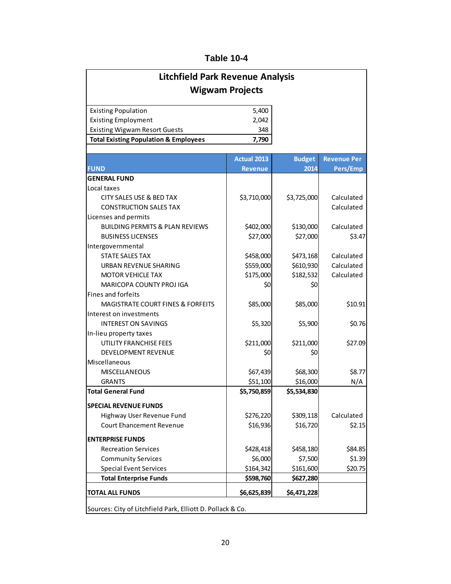| <b>Litchfield Park Revenue Analysis</b>                    |                    |                       |                                |  |  |  |  |  |  |  |
|------------------------------------------------------------|--------------------|-----------------------|--------------------------------|--|--|--|--|--|--|--|
| <b>Wigwam Projects</b>                                     |                    |                       |                                |  |  |  |  |  |  |  |
| <b>Existing Population</b>                                 | 5,400              |                       |                                |  |  |  |  |  |  |  |
| <b>Existing Employment</b>                                 | 2,042              |                       |                                |  |  |  |  |  |  |  |
| <b>Existing Wigwam Resort Guests</b>                       | 348                |                       |                                |  |  |  |  |  |  |  |
| <b>Total Existing Population &amp; Employees</b>           | 7,790              |                       |                                |  |  |  |  |  |  |  |
|                                                            |                    |                       |                                |  |  |  |  |  |  |  |
| <b>FUND</b>                                                | <b>Actual 2013</b> | <b>Budget</b><br>2014 | <b>Revenue Per</b><br>Pers/Emp |  |  |  |  |  |  |  |
| <b>GENERAL FUND</b>                                        | <b>Revenue</b>     |                       |                                |  |  |  |  |  |  |  |
| Local taxes                                                |                    |                       |                                |  |  |  |  |  |  |  |
| CITY SALES USE & BED TAX                                   | \$3,710,000        | \$3,725,000           | Calculated                     |  |  |  |  |  |  |  |
| <b>CONSTRUCTION SALES TAX</b>                              |                    |                       | Calculated                     |  |  |  |  |  |  |  |
| Licenses and permits                                       |                    |                       |                                |  |  |  |  |  |  |  |
| <b>BUILDING PERMITS &amp; PLAN REVIEWS</b>                 | \$402,000          | \$130,000             | Calculated                     |  |  |  |  |  |  |  |
| <b>BUSINESS LICENSES</b>                                   | \$27,000           | \$27,000              | \$3.47                         |  |  |  |  |  |  |  |
| Intergovernmental                                          |                    |                       |                                |  |  |  |  |  |  |  |
| <b>STATE SALES TAX</b>                                     | \$458,000          | \$473,168             | Calculated                     |  |  |  |  |  |  |  |
| <b>URBAN REVENUE SHARING</b>                               | \$559,000          | \$610,930             | Calculated                     |  |  |  |  |  |  |  |
| <b>MOTOR VEHICLE TAX</b>                                   | \$175,000          | \$182,532             | Calculated                     |  |  |  |  |  |  |  |
| <b>MARICOPA COUNTY PROJ IGA</b>                            | \$0                | S0                    |                                |  |  |  |  |  |  |  |
| Fines and forfeits                                         |                    |                       |                                |  |  |  |  |  |  |  |
| <b>MAGISTRATE COURT FINES &amp; FORFEITS</b>               | \$85,000           | \$85,000              | \$10.91                        |  |  |  |  |  |  |  |
| Interest on investments                                    |                    |                       |                                |  |  |  |  |  |  |  |
| <b>INTEREST ON SAVINGS</b>                                 | \$5,320            | \$5,900               | \$0.76                         |  |  |  |  |  |  |  |
| In-lieu property taxes                                     |                    |                       |                                |  |  |  |  |  |  |  |
| UTILITY FRANCHISE FEES                                     | \$211,000          | \$211,000             | \$27.09                        |  |  |  |  |  |  |  |
| <b>DEVELOPMENT REVENUE</b>                                 | \$0                | \$0                   |                                |  |  |  |  |  |  |  |
| Miscellaneous                                              |                    |                       |                                |  |  |  |  |  |  |  |
| <b>MISCELLANEOUS</b>                                       | \$67,439           | \$68,300              | \$8.77                         |  |  |  |  |  |  |  |
| <b>GRANTS</b>                                              | \$51,100           | \$16,000              | N/A                            |  |  |  |  |  |  |  |
| <b>Total General Fund</b>                                  | \$5,750,859        | \$5,534,830           |                                |  |  |  |  |  |  |  |
| <b>SPECIAL REVENUE FUNDS</b>                               |                    |                       |                                |  |  |  |  |  |  |  |
| Highway User Revenue Fund                                  | \$276,220          | \$309,118             | Calculated                     |  |  |  |  |  |  |  |
| <b>Court Ehancement Revenue</b>                            | \$16,936           | \$16,720              | \$2.15                         |  |  |  |  |  |  |  |
| <b>ENTERPRISE FUNDS</b>                                    |                    |                       |                                |  |  |  |  |  |  |  |
| <b>Recreation Services</b>                                 | \$428,418          | \$458,180             | \$84.85                        |  |  |  |  |  |  |  |
| <b>Community Services</b>                                  | \$6,000            | \$7,500               | \$1.39                         |  |  |  |  |  |  |  |
| <b>Special Event Services</b>                              | \$164,342          | \$161,600             | \$20.75                        |  |  |  |  |  |  |  |
| <b>Total Enterprise Funds</b>                              | \$598,760          | \$627,280             |                                |  |  |  |  |  |  |  |
| <b>TOTAL ALL FUNDS</b>                                     | \$6,625,839        | \$6,471,228           |                                |  |  |  |  |  |  |  |
| Sources: City of Litchfield Park, Elliott D. Pollack & Co. |                    |                       |                                |  |  |  |  |  |  |  |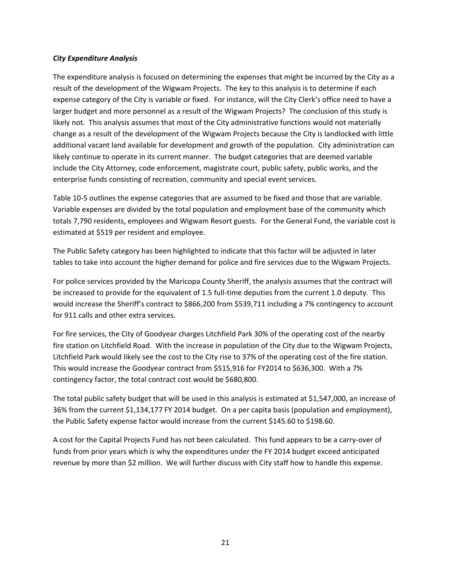#### *City Expenditure Analysis*

The expenditure analysis is focused on determining the expenses that might be incurred by the City as a result of the development of the Wigwam Projects. The key to this analysis is to determine if each expense category of the City is variable or fixed. For instance, will the City Clerk's office need to have a larger budget and more personnel as a result of the Wigwam Projects? The conclusion of this study is likely not. This analysis assumes that most of the City administrative functions would not materially change as a result of the development of the Wigwam Projects because the City is landlocked with little additional vacant land available for development and growth of the population. City administration can likely continue to operate in its current manner. The budget categories that are deemed variable include the City Attorney, code enforcement, magistrate court, public safety, public works, and the enterprise funds consisting of recreation, community and special event services.

Table 10‐5 outlines the expense categories that are assumed to be fixed and those that are variable. Variable expenses are divided by the total population and employment base of the community which totals 7,790 residents, employees and Wigwam Resort guests. For the General Fund, the variable cost is estimated at \$519 per resident and employee.

The Public Safety category has been highlighted to indicate that this factor will be adjusted in later tables to take into account the higher demand for police and fire services due to the Wigwam Projects.

For police services provided by the Maricopa County Sheriff, the analysis assumes that the contract will be increased to provide for the equivalent of 1.5 full-time deputies from the current 1.0 deputy. This would increase the Sheriff's contract to \$866,200 from \$539,711 including a 7% contingency to account for 911 calls and other extra services.

For fire services, the City of Goodyear charges Litchfield Park 30% of the operating cost of the nearby fire station on Litchfield Road. With the increase in population of the City due to the Wigwam Projects, Litchfield Park would likely see the cost to the City rise to 37% of the operating cost of the fire station. This would increase the Goodyear contract from \$515,916 for FY2014 to \$636,300. With a 7% contingency factor, the total contract cost would be \$680,800.

The total public safety budget that will be used in this analysis is estimated at \$1,547,000, an increase of 36% from the current \$1,134,177 FY 2014 budget. On a per capita basis (population and employment), the Public Safety expense factor would increase from the current \$145.60 to \$198.60.

A cost for the Capital Projects Fund has not been calculated. This fund appears to be a carry‐over of funds from prior years which is why the expenditures under the FY 2014 budget exceed anticipated revenue by more than \$2 million. We will further discuss with City staff how to handle this expense.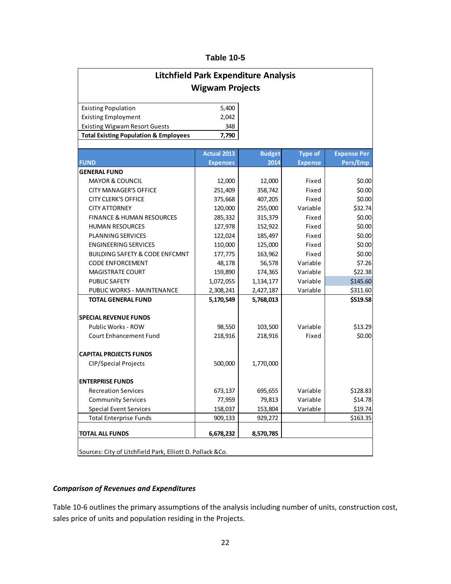| <b>Litchfield Park Expenditure Analysis</b>               |                    |               |                |                    |  |  |  |  |  |
|-----------------------------------------------------------|--------------------|---------------|----------------|--------------------|--|--|--|--|--|
| <b>Wigwam Projects</b>                                    |                    |               |                |                    |  |  |  |  |  |
| <b>Existing Population</b>                                | 5,400              |               |                |                    |  |  |  |  |  |
| <b>Existing Employment</b>                                | 2,042              |               |                |                    |  |  |  |  |  |
| <b>Existing Wigwam Resort Guests</b>                      | 348                |               |                |                    |  |  |  |  |  |
| <b>Total Existing Population &amp; Employees</b>          | 7,790              |               |                |                    |  |  |  |  |  |
|                                                           |                    |               |                |                    |  |  |  |  |  |
|                                                           | <b>Actual 2013</b> | <b>Budget</b> | <b>Type of</b> | <b>Expense Per</b> |  |  |  |  |  |
| <b>FUND</b>                                               | <b>Expenses</b>    | 2014          | <b>Expense</b> | Pers/Emp           |  |  |  |  |  |
| <b>GENERAL FUND</b>                                       |                    |               |                |                    |  |  |  |  |  |
| <b>MAYOR &amp; COUNCIL</b>                                | 12,000             | 12,000        | Fixed          | \$0.00             |  |  |  |  |  |
| <b>CITY MANAGER'S OFFICE</b>                              | 251,409            | 358,742       | Fixed          | \$0.00             |  |  |  |  |  |
| <b>CITY CLERK'S OFFICE</b>                                | 375,668            | 407,205       | Fixed          | \$0.00             |  |  |  |  |  |
| <b>CITY ATTORNEY</b>                                      | 120,000            | 255,000       | Variable       | \$32.74            |  |  |  |  |  |
| <b>FINANCE &amp; HUMAN RESOURCES</b>                      | 285,332            | 315,379       | Fixed          | \$0.00             |  |  |  |  |  |
| <b>HUMAN RESOURCES</b>                                    | 127,978            | 152,922       | Fixed          | \$0.00             |  |  |  |  |  |
| <b>PLANNING SERVICES</b>                                  | 122,024            | 185,497       | Fixed          | \$0.00             |  |  |  |  |  |
| <b>ENGINEERING SERVICES</b>                               | 110,000            | 125,000       | Fixed          | \$0.00             |  |  |  |  |  |
| <b>BUILDING SAFETY &amp; CODE ENFCMNT</b>                 | 177,775            | 163,962       | Fixed          | \$0.00             |  |  |  |  |  |
| <b>CODE ENFORCEMENT</b>                                   | 48,178             | 56,578        | Variable       | \$7.26             |  |  |  |  |  |
| <b>MAGISTRATE COURT</b>                                   | 159,890            | 174,365       | Variable       | \$22.38            |  |  |  |  |  |
| <b>PUBLIC SAFETY</b>                                      | 1,072,055          | 1,134,177     | Variable       | \$145.60           |  |  |  |  |  |
| PUBLIC WORKS - MAINTENANCE                                | 2,308,241          | 2,427,187     | Variable       | \$311.60           |  |  |  |  |  |
| <b>TOTAL GENERAL FUND</b>                                 | 5,170,549          | 5,768,013     |                | \$519.58           |  |  |  |  |  |
| <b>SPECIAL REVENUE FUNDS</b>                              |                    |               |                |                    |  |  |  |  |  |
| Public Works - ROW                                        | 98,550             | 103,500       | Variable       | \$13.29            |  |  |  |  |  |
| Court Enhancement Fund                                    | 218,916            | 218,916       | Fixed          | \$0.00             |  |  |  |  |  |
| <b>CAPITAL PROJECTS FUNDS</b>                             |                    |               |                |                    |  |  |  |  |  |
| CIP/Special Projects                                      | 500,000            | 1,770,000     |                |                    |  |  |  |  |  |
| <b>ENTERPRISE FUNDS</b>                                   |                    |               |                |                    |  |  |  |  |  |
| <b>Recreation Services</b>                                | 673,137            | 695,655       | Variable       | \$128.83           |  |  |  |  |  |
| <b>Community Services</b>                                 | 77,959             | 79,813        | Variable       | \$14.78            |  |  |  |  |  |
| <b>Special Event Services</b>                             | 158,037            | 153,804       | Variable       | \$19.74            |  |  |  |  |  |
| <b>Total Enterprise Funds</b>                             | 909,133            | 929,272       |                | \$163.35           |  |  |  |  |  |
| <b>TOTAL ALL FUNDS</b>                                    | 6,678,232          | 8,570,785     |                |                    |  |  |  |  |  |
| Sources: City of Litchfield Park, Elliott D. Pollack &Co. |                    |               |                |                    |  |  |  |  |  |

## *Comparison of Revenues and Expenditures*

Table 10‐6 outlines the primary assumptions of the analysis including number of units, construction cost, sales price of units and population residing in the Projects.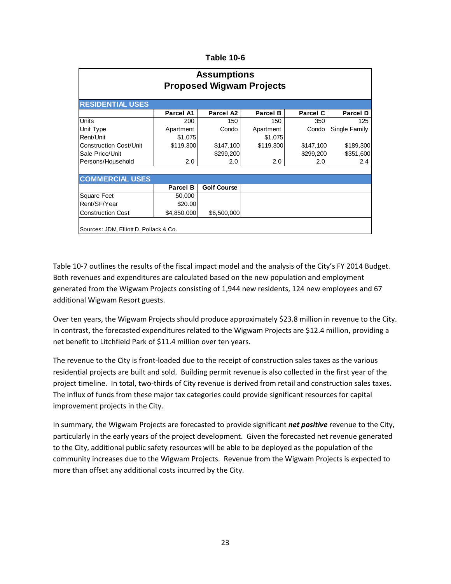| <b>Assumptions</b><br><b>Proposed Wigwam Projects</b> |                 |                    |                 |                 |                 |  |  |  |  |  |
|-------------------------------------------------------|-----------------|--------------------|-----------------|-----------------|-----------------|--|--|--|--|--|
| <b>RESIDENTIAL USES</b>                               |                 |                    |                 |                 |                 |  |  |  |  |  |
|                                                       | Parcel A1       | Parcel A2          | <b>Parcel B</b> | <b>Parcel C</b> | <b>Parcel D</b> |  |  |  |  |  |
| <b>Units</b>                                          | 200             | 150                | 150             | 350             | 125             |  |  |  |  |  |
| Unit Type                                             | Apartment       | Condo              | Apartment       | Condo           | Single Family   |  |  |  |  |  |
| Rent/Unit                                             | \$1,075         |                    | \$1,075         |                 |                 |  |  |  |  |  |
| <b>Construction Cost/Unit</b>                         | \$119,300       | \$147,100          | \$119,300       | \$147,100       | \$189,300       |  |  |  |  |  |
| Sale Price/Unit                                       |                 | \$299,200          |                 | \$299,200       | \$351,600       |  |  |  |  |  |
| Persons/Household                                     | 2.0             | 2.0                | 2.0             | 2.0             | 2.4             |  |  |  |  |  |
| <b>COMMERCIAL USES</b>                                |                 |                    |                 |                 |                 |  |  |  |  |  |
|                                                       | <b>Parcel B</b> | <b>Golf Course</b> |                 |                 |                 |  |  |  |  |  |
| <b>Square Feet</b>                                    | 50,000          |                    |                 |                 |                 |  |  |  |  |  |
| Rent/SF/Year                                          | \$20,00         |                    |                 |                 |                 |  |  |  |  |  |
| <b>Construction Cost</b>                              | \$4,850,000     | \$6,500,000        |                 |                 |                 |  |  |  |  |  |
| Sources: JDM, Elliott D. Pollack & Co.                |                 |                    |                 |                 |                 |  |  |  |  |  |

Table 10‐7 outlines the results of the fiscal impact model and the analysis of the City's FY 2014 Budget. Both revenues and expenditures are calculated based on the new population and employment generated from the Wigwam Projects consisting of 1,944 new residents, 124 new employees and 67 additional Wigwam Resort guests.

Over ten years, the Wigwam Projects should produce approximately \$23.8 million in revenue to the City. In contrast, the forecasted expenditures related to the Wigwam Projects are \$12.4 million, providing a net benefit to Litchfield Park of \$11.4 million over ten years.

The revenue to the City is front‐loaded due to the receipt of construction sales taxes as the various residential projects are built and sold. Building permit revenue is also collected in the first year of the project timeline. In total, two-thirds of City revenue is derived from retail and construction sales taxes. The influx of funds from these major tax categories could provide significant resources for capital improvement projects in the City.

In summary, the Wigwam Projects are forecasted to provide significant *net positive* revenue to the City, particularly in the early years of the project development. Given the forecasted net revenue generated to the City, additional public safety resources will be able to be deployed as the population of the community increases due to the Wigwam Projects. Revenue from the Wigwam Projects is expected to more than offset any additional costs incurred by the City.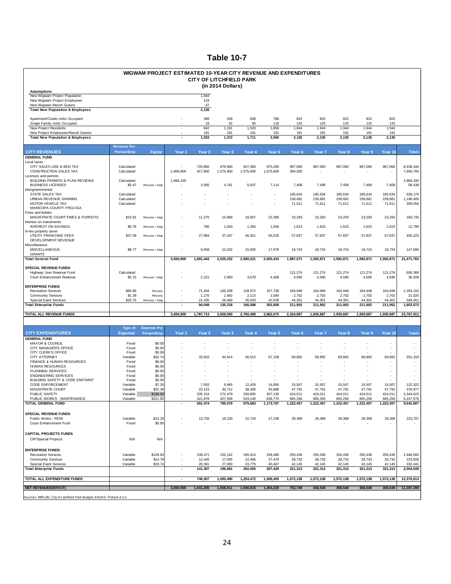| WIGWAM PROJECT ESTIMATED 10-YEAR CITY REVENUE AND EXPENDITURES<br><b>CITY OF LITCHFIELD PARK</b><br>(in 2014 Dollars) |                                  |                                  |                          |                                            |                      |                      |                      |                                    |                    |                    |                    |                          |                          |
|-----------------------------------------------------------------------------------------------------------------------|----------------------------------|----------------------------------|--------------------------|--------------------------------------------|----------------------|----------------------|----------------------|------------------------------------|--------------------|--------------------|--------------------|--------------------------|--------------------------|
| <b>Assumptions</b><br>New Wigwam Project Population<br>New Wigwam Project Employees<br>New Wigwam Resort Guests       |                                  |                                  |                          | 1,944<br>124<br>67                         |                      |                      |                      |                                    |                    |                    |                    |                          |                          |
| <b>Total New Population &amp; Employees</b>                                                                           |                                  |                                  |                          | 2,135                                      |                      |                      |                      |                                    |                    |                    |                    |                          |                          |
| Apartment/Condo Units Occupied<br>Single Family Units Occupied                                                        |                                  |                                  |                          | 398<br>19                                  | 528<br>52            | 658<br>85            | 788<br>118           | 822<br>125                         | 822<br>125         | 822<br>125         | 822<br>125         | 822<br>125               |                          |
| <b>New Project Residents</b><br>New Project Employees/Resort Guests                                                   |                                  |                                  | ÷                        | 842<br>191                                 | 1,181<br>191         | 1,520<br>191         | 1,859<br>191         | 1,944<br>191                       | 1,944<br>191       | 1,944<br>191       | 1,944<br>191       | 1,944<br>191             |                          |
| <b>Total New Population &amp; Employees</b>                                                                           |                                  |                                  |                          | 1,033                                      | 1,372                | 1,711                | 2,050                | 2,135                              | 2,135              | 2,135              | 2,135              | 2,135                    |                          |
| <b>CITY REVENUES</b>                                                                                                  | <b>Revenue Per</b><br>Person/Emp | Factor                           | Year 1                   | Year <sub>2</sub>                          | Year <sub>3</sub>    | Year 4               | Year 5               | Year <sub>6</sub>                  | Year 7             | Year <sub>8</sub>  | Year 9             | Year 10                  | <b>Totals</b>            |
| <b>GENERAL FUND</b>                                                                                                   |                                  |                                  |                          |                                            |                      |                      |                      |                                    |                    |                    |                    |                          |                          |
| Local taxes<br>CITY SALES USE & BED TAX<br>CONSTRUCTION SALES TAX                                                     | Calculated<br>Calculated         |                                  | 1,656,800                | 720,860<br>917,900                         | 879,660<br>1,575,600 | 927,360<br>1,575,600 | 975,260<br>1,575,600 | 987,060<br>394,200                 | 987,060            | 987,060            | 987,060            | 987,060                  | 8,438,440<br>7,695,700   |
| Licenses and permits<br>BUILDING PERMITS & PLAN REVIEWS<br><b>BUSINESS LICENSES</b>                                   | Calculated<br>\$3.47             | Persons + Emp                    | 1,994,100                | 3,585                                      | 4,761                | 5,937                | 7,114                | 7,408                              | 7,408              | 7,408              | 7,408              | 7,408                    | 1,994,100<br>58,438      |
| Intergovemmental                                                                                                      |                                  |                                  |                          |                                            |                      |                      |                      |                                    |                    |                    |                    |                          |                          |
| STATE SALES TAX<br>URBAN REVENUE SHARING                                                                              | Calculated<br>Calculated         |                                  |                          | $\overline{\phantom{a}}$                   | ÷.                   | ÷,                   | ÷                    | 185,634<br>239,681                 | 185,634<br>239,681 | 185,634<br>239,681 | 185,634<br>239,681 | 185,634<br>239,681       | 928,170<br>1,198,405     |
| MOTOR VEHICLE TAX<br>MARICOPA COUNTY PROJ IGA<br>Fines and forfeits                                                   | Calculated                       |                                  |                          |                                            |                      |                      |                      | 71,611                             | 71,611             | 71,611             | 71,611             | 71,611                   | 358,056                  |
| MAGISTRATE COURT FINES & FORFEITS                                                                                     | \$10.91                          | Persons + Emp                    |                          | 11,270                                     | 14,969               | 18,667               | 22,366               | 23,293                             | 23,293             | 23,293             | 23,293             | 23,293                   | 183,735                  |
| Interest on investments<br><b>INTEREST ON SAVINGS</b>                                                                 | \$0.76                           | Persons + Emp                    |                          | 785                                        | 1,043                | 1,300                | 1,558                | 1,623                              | 1,623              | 1,623              | 1,623              | 1,623                    | 12,799                   |
| In-lieu property taxes<br>UTILITY FRANCHISE FEES<br>DEVELOPMENT REVENUE                                               | \$27.09                          | Persons + Emp                    |                          | 27,984                                     | 37,167               | 46,351               | 55,535               | 57,837                             | 57,837             | 57,837             | 57,837             | 57,837                   | 456,223                  |
| Miscellaneous<br>MISCELLANEOUS<br><b>GRANTS</b>                                                                       | \$8.77                           | Persons + Emp                    |                          | 9,059                                      | 12,032               | 15,005               | 17,979               | 18,724                             | 18,724             | 18,724             | 18,724             | 18,724                   | 147,696                  |
| <b>Total General Fund</b>                                                                                             |                                  |                                  | 3,650,900                | 1,691,443                                  | 2,525,232            | 2,590,221            | 2,655,410            | 1,987,071                          | 1,592,871          | 1,592,871          | 1,592,871          | 1,592,871                | 21,471,763               |
| <b>SPECIAL REVENUE FUNDS</b><br>Highway User Revenue Fund                                                             | Calculated                       |                                  |                          |                                            |                      |                      | $\sim$               | 121,274                            | 121,274            | 121,274            | 121,274            | 121,274                  | 606,368                  |
| Court Enhancement Revenue                                                                                             | \$2.15                           | Persons + Emp                    |                          | 2,221                                      | 2,950                | 3,679                | 4,408                | 4,590                              | 4,590              | 4,590              | 4,590              | 4,590                    | 36,208                   |
| <b>ENTERPRISE FUNDS</b><br><b>Recreation Services</b>                                                                 | \$84.85                          | Persons                          |                          | 71,444                                     | 100,208              | 128,972              | 157,736              | 164,948                            | 164,948            | 164,948            | 164,948            | 164,948                  | 1,283,102                |
| <b>Community Services</b>                                                                                             | \$1.39                           | Persons                          |                          | 1,170                                      | 1,642                | 2,113                | 2,584                | 2,702                              | 2,702              | 2,702              | 2,702              | 2,702                    | 21,020                   |
| <b>Special Event Services</b><br><b>Total Enterprise Funds</b>                                                        | \$20.75                          | Persons + Emp                    | $\overline{\phantom{a}}$ | 21,435<br>94,049                           | 28,469<br>130,318    | 35,503<br>166,588    | 42,538<br>202,858    | 44,301<br>211,952                  | 44,301<br>211,952  | 44,301<br>211,952  | 44,301<br>211,952  | 44,301<br>211,952        | 349,451<br>1,653,572     |
| TOTAL ALL REVENUE FUNDS                                                                                               |                                  |                                  | 3,650,900                | 1,787,713                                  | 2,658,500            | 2,760,488            | 2,862,675            | 2,324,887                          | 1,930,687          | 1,930,687          | 1,930,687          | 1,930,687                | 23,767,911               |
|                                                                                                                       |                                  |                                  |                          |                                            |                      |                      |                      |                                    |                    |                    |                    |                          |                          |
| <b>CITY EXPENDITURES</b>                                                                                              | Type of<br><b>Expense</b>        | <b>Expense Per</b><br>Person/Emp | Year 1                   | Year <sub>2</sub>                          | Year <sub>3</sub>    | Year <sub>4</sub>    | Year 5               | Year <sub>6</sub>                  | Year 7             | Year 8             | Year 9             | Year 10                  | <b>Totals</b>            |
| <b>GENERAL FUND</b>                                                                                                   |                                  |                                  |                          |                                            |                      |                      |                      |                                    |                    |                    |                    |                          |                          |
| <b>MAYOR &amp; COUNCIL</b><br>CITY MANAGER'S OFFICE                                                                   | Fixed<br>Fixed                   | \$0.00<br>\$0.00                 |                          | $\overline{a}$<br>$\overline{\phantom{a}}$ |                      | $\overline{a}$       |                      | $\overline{\phantom{a}}$<br>٠      | $\sim$             |                    |                    | $\overline{\phantom{a}}$ | $\overline{\phantom{a}}$ |
| CITY CLERK'S OFFICE<br><b>CITY ATTORNEY</b>                                                                           | Fixed<br>Variable                | \$0.00<br>\$32.74                |                          | 33,816                                     | 44,914               | 56,012               | 67,109               | 69,892                             | 69,892             | 69,892             | 69,892             | 69,892                   | 551,310                  |
| FINANCE & HUMAN RESOURCES                                                                                             | Fixed                            | \$0.00                           |                          | $\overline{a}$                             |                      |                      |                      |                                    |                    |                    |                    | $\overline{\phantom{a}}$ |                          |
| <b>HUMAN RESOURCES</b><br>PLANNING SERVICES                                                                           | Fixed<br>Fixed                   | \$0.00<br>\$0.00                 |                          |                                            |                      |                      |                      |                                    |                    |                    |                    |                          |                          |
| <b>ENGINEERING SERVICES</b>                                                                                           | Fixed                            | \$0.00                           |                          | $\overline{a}$                             |                      |                      |                      | ٠                                  |                    |                    |                    | ٠                        |                          |
| BUILDING SAFETY & CODE ENFCMNT<br><b>CODE ENFORCEMENT</b>                                                             | Fixed<br>Variable                | \$0.00<br>\$7.26                 |                          | 7,503                                      | 9,965                | 12,428               | 14,890               | 15,507                             | 15,507             | 15,507             | 15,507             | 15,507                   | 122,322                  |
| MAGISTRATE COURT                                                                                                      | Variable                         | \$22.38                          |                          | 23,123                                     | 30,712               | 38,300               | 45,888               | 47,791                             | 47,791             | 47,791             | 47,791             | 47,791                   | 376,977                  |
| PUBLIC SAFETY<br>PUBLIC WORKS - MAINTENANCE                                                                           | Variable<br>Variable             | \$198.60<br>\$311.60             |                          | 205,154<br>321 878                         | 272,479<br>427 509   | 339,805<br>533 140   | 407,130<br>638 770   | 424,011<br>665 256                 | 424,011<br>665 256 | 424,011<br>665 256 | 424,011<br>665 256 | 424,011<br>665 256       | 3,344,623<br>5,247,576   |
| TOTAL GENERAL FUND                                                                                                    |                                  |                                  |                          | 591,474                                    | 785,579              | 979,683              | 1,173,787            | 1,222,457                          | 1,222,457          | 1,222,457          | 1,222,457          | 1,222,457                | 9,642,807                |
| <b>SPECIAL REVENUE FUNDS</b>                                                                                          |                                  |                                  |                          |                                            |                      |                      |                      |                                    |                    |                    |                    |                          |                          |
| Public Works - ROW<br>Court Enhancement Fund                                                                          | Variable<br>Fixed                | \$13.29<br>\$0.00                |                          | 13,726<br>$\overline{\phantom{a}}$         | 18,230<br>$\sim$     | 22,734               | 27,238<br>$\sim$     | 28,368<br>$\overline{\phantom{a}}$ | 28,368             | 28,368<br>$\sim$   | 28,368             | 28,368                   | 223,767                  |
|                                                                                                                       |                                  |                                  |                          |                                            |                      |                      |                      |                                    |                    |                    |                    |                          |                          |
| <b>CAPITAL PROJECTS FUNDS</b><br>CIP/Special Projects                                                                 | N/A                              | N/A                              |                          |                                            |                      |                      |                      |                                    |                    |                    |                    |                          |                          |
| <b>ENTERPRISE FUNDS</b>                                                                                               |                                  |                                  |                          |                                            |                      |                      |                      |                                    |                    |                    |                    |                          |                          |
| <b>Recreation Services</b><br><b>Community Services</b>                                                               | Variable<br>Variable             | \$128.83<br>\$14.78              |                          | 108,471<br>12,445                          | 152,142<br>17,455    | 195,814<br>22,466    | 239,486<br>27,476    | 250,436<br>28,733                  | 250,436<br>28,733  | 250,436<br>28,733  | 250,436<br>28,733  | 250,436<br>28,733        | 1,948,092<br>223,506     |
| <b>Special Event Services</b>                                                                                         | Variable                         | \$19.74                          |                          | 20,391                                     | 27,083               | 33,775               | 40,467               | 42,145                             | 42,145             | 42,145             | 42,145             | 42,145                   | 332,441                  |
| <b>Total Enterprise Funds</b>                                                                                         |                                  |                                  | $\blacksquare$           | 141,307                                    | 196,681              | 252,055              | 307,429              | 321,313                            | 321,313            | 321,313            | 321,313            | 321,313                  | 2,504,039                |
| TOTAL ALL EXPENDITURE FUNDS                                                                                           |                                  |                                  | $\sim$                   | 746,507                                    | 1,000,490            | 1,254,472            | 1,508,455            | 1,572,138                          | 1,572,138          | 1,572,138          | 1,572,138          | 1,572,138                | 12,370,613               |
| <b>NET REVENUE/(DEFICIT)</b>                                                                                          |                                  |                                  | 3,650,900                | 1,041,206                                  | 1,658,011            | 1,506,015            | 1,354,220            | 752,749                            | 358,549            | 358,549            | 358,549            | 358,549                  | 11,397,298               |
| Sources: IMPLAN, City of Litchfield Park Budget, Elliott D. Pollack & Co.                                             |                                  |                                  |                          |                                            |                      |                      |                      |                                    |                    |                    |                    |                          |                          |

24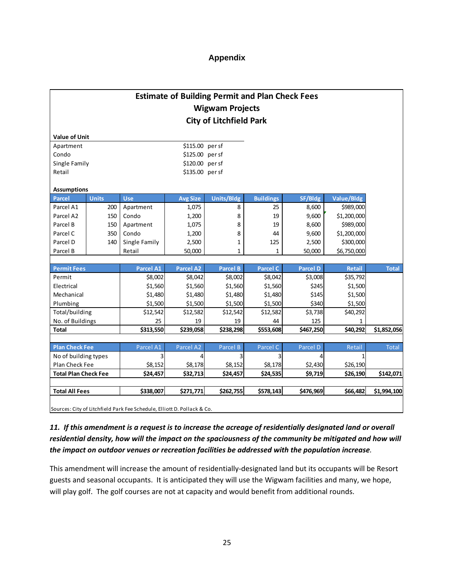## **Appendix**

| <b>Estimate of Building Permit and Plan Check Fees</b> |
|--------------------------------------------------------|
| <b>Wigwam Projects</b>                                 |
| <b>City of Litchfield Park</b>                         |

| <b>Value of Unit</b> |              |            |                  |            |                  |         |            |  |  |
|----------------------|--------------|------------|------------------|------------|------------------|---------|------------|--|--|
| Apartment            |              |            | $$115.00$ per sf |            |                  |         |            |  |  |
| Condo                |              |            | $$125.00$ persf  |            |                  |         |            |  |  |
| Single Family        |              |            | \$120.00 per sf  |            |                  |         |            |  |  |
| Retail               |              |            | \$135.00 per sf  |            |                  |         |            |  |  |
| <b>Assumptions</b>   |              |            |                  |            |                  |         |            |  |  |
| Parcel               | <b>Units</b> | <b>Use</b> | <b>Avg Size</b>  | Units/Bldg | <b>Buildings</b> | SF/Bldg | Value/Bldg |  |  |
| Parcel A1            | 200          | Apartment  | 1,075            | 8          | 25               | 8,600   | \$989,000  |  |  |

r

| Parcel A1 | ZUU I | Apartment     | 1,075 I | ŏ | 25  | 8,0UU  | <b>PARA'</b> |  |
|-----------|-------|---------------|---------|---|-----|--------|--------------|--|
| Parcel A2 | 150   | Condo         | 1,200   | 8 | 19  | 9.600  | \$1,200,000  |  |
| Parcel B  | 150   | Apartment     | 1,075   | 8 | 19  | 8.600  | \$989,000    |  |
| Parcel C  | 350   | Condo         | 1,200   | 8 | 44  | 9.600  | \$1,200,000  |  |
| Parcel D  | 140   | Single Family | 2,500   |   | 125 | 2,500  | \$300,000    |  |
| Parcel B  |       | Retail        | 50,000  |   |     | 50.000 | \$6,750,000  |  |

| <b>Permit Fees</b> | <b>Parcel A1</b> | <b>Parcel A2</b> | <b>Parcel B</b> | <b>Parcel C</b> | <b>Parcel D</b> | <b>Retail</b> | <b>Total</b> |
|--------------------|------------------|------------------|-----------------|-----------------|-----------------|---------------|--------------|
| Permit             | \$8,002          | \$8,042          | \$8,002         | \$8,042         | \$3,008         | \$35,792      |              |
| Electrical         | \$1,560          | \$1,560          | \$1,560         | \$1,560         | \$245           | \$1,500       |              |
| Mechanical         | \$1,480          | \$1,480          | \$1,480         | \$1,480         | \$145           | \$1,500       |              |
| Plumbing           | \$1,500          | \$1,500          | \$1,500         | \$1,500         | \$340           | \$1,500       |              |
| Total/building     | \$12,542         | \$12,582         | \$12,542        | \$12,582        | \$3,738         | \$40,292      |              |
| No. of Buildings   | 25               | 19               | 19              | 44              | 125             |               |              |
| <b>Total</b>       | \$313,550        | \$239,058        | \$238,298       | \$553,608       | \$467,250       | \$40,292      | \$1,852,056  |

| <b>Plan Check Fee</b>                                                   | Parcel A1 | Parcel A2 | Parcel B  | Parcel C  | Parcel D  | Retail   | <b>Total</b> |  |
|-------------------------------------------------------------------------|-----------|-----------|-----------|-----------|-----------|----------|--------------|--|
| No of building types                                                    |           |           |           |           |           |          |              |  |
| Plan Check Fee                                                          | \$8,152   | \$8,178   | \$8,152   | \$8,178   | \$2,430   | \$26,190 |              |  |
| <b>Total Plan Check Fee</b>                                             | \$24,457  | \$32,713  | \$24,457  | \$24,535  | \$9,719   | \$26,190 | \$142,071    |  |
|                                                                         |           |           |           |           |           |          |              |  |
| <b>Total All Fees</b>                                                   | \$338,007 | \$271,771 | \$262,755 | \$578,143 | \$476,969 | \$66,482 | \$1,994,100  |  |
|                                                                         |           |           |           |           |           |          |              |  |
| Sources: City of Litchfield Park Fee Schedule, Elliott D. Pollack & Co. |           |           |           |           |           |          |              |  |

11. If this amendment is a request is to increase the acreage of residentially designated land or overall *residential density, how will the impact on the spaciousness of the community be mitigated and how will the impact on outdoor venues or recreation facilities be addressed with the population increase.*

This amendment will increase the amount of residentially‐designated land but its occupants will be Resort guests and seasonal occupants. It is anticipated they will use the Wigwam facilities and many, we hope, will play golf. The golf courses are not at capacity and would benefit from additional rounds.